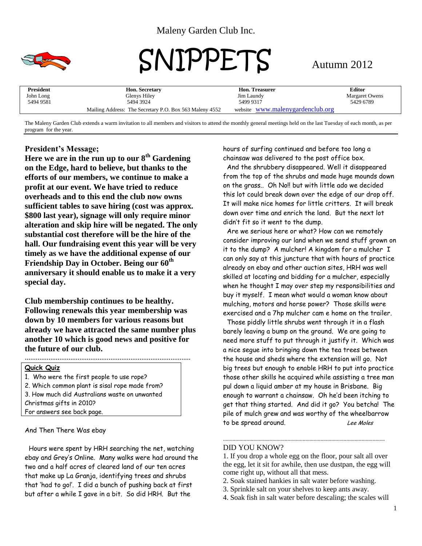

# SNIPPETS Autumn 2012

| President | <b>Hon. Secretary</b>                                   | <b>Hon. Treasurer</b>            | Editor                |
|-----------|---------------------------------------------------------|----------------------------------|-----------------------|
| John Long | Glenys Hiley                                            | Jim Laundy                       | <b>Margaret Owens</b> |
| 5494 9581 | 5494 3924                                               | 5499 9317                        | 5429 6789             |
|           | Mailing Address: The Secretary P.O. Box 563 Maleny 4552 | website www.malenygardenclub.org |                       |

The Maleny Garden Club extends a warm invitation to all members and visitors to attend the monthly general meetings held on the last Tuesday of each month, as per program for the year.

# **President's Message;**

**Here we are in the run up to our 8th Gardening on the Edge, hard to believe, but thanks to the efforts of our members, we continue to make a profit at our event. We have tried to reduce overheads and to this end the club now owns sufficient tables to save hiring (cost was approx. \$800 last year), signage will only require minor alteration and skip hire will be negated. The only substantial cost therefore will be the hire of the hall. Our fundraising event this year will be very timely as we have the additional expense of our Friendship Day in October. Being our 60th anniversary it should enable us to make it a very special day.**

**Club membership continues to be healthy. Following renewals this year membership was down by 10 members for various reasons but already we have attracted the same number plus another 10 which is good news and positive for the future of our club.**

*...........................................................................................*

# **Quick Quiz**

1. Who were the first people to use rope? 2. Which common plant is sisal rope made from? 3. How much did Australians waste on unwanted Christmas gifts in 2010? For answers see back page.

And Then There Was ebay

 Hours were spent by HRH searching the net, watching ebay and Grey's Online. Many walks were had around the two and a half acres of cleared land of our ten acres that make up La Granja, identifying trees and shrubs that 'had to go!'. I did a bunch of pushing back at first but after a while I gave in a bit. So did HRH. But the

hours of surfing continued and before too long a chainsaw was delivered to the post office box.

 And the shrubbery disappeared. Well it disappeared from the top of the shrubs and made huge mounds down on the grass.. Oh No!! but with little ado we decided this lot could break down over the edge of our drop off. It will make nice homes for little critters. It will break down over time and enrich the land. But the next lot didn't fit so it went to the dump.

 Are we serious here or what? How can we remotely consider improving our land when we send stuff grown on it to the dump? A mulcher! A kingdom for a mulcher I can only say at this juncture that with hours of practice already on ebay and other auction sites, HRH was well skilled at locating and bidding for a mulcher, especially when he thought I may over step my responsibilities and buy it myself. I mean what would a woman know about mulching, motors and horse power? Those skills were exercised and a 7hp mulcher cam e home on the trailer.

 Those piddly little shrubs went through it in a flash barely leaving a bump on the ground. We are going to need more stuff to put through it justify it. Which was a nice segue into bringing down the tea trees between the house and sheds where the extension will go. Not big trees but enough to enable HRH to put into practice those other skills he acquired while assisting a tree man pul down a liquid amber at my house in Brisbane. Big enough to warrant a chainsaw. Oh he'd been itching to get that thing started. And did it go? You betcha! The pile of mulch grew and was worthy of the wheelbarrow to be spread around. Lee Moles

# DID YOU KNOW?

1. If you drop a whole egg on the floor, pour salt all over the egg, let it sit for awhile, then use dustpan, the egg will come right up, without all that mess.

- 2. Soak stained hankies in salt water before washing.
- 3. Sprinkle salt on your shelves to keep ants away.
- 4. Soak fish in salt water before descaling; the scales will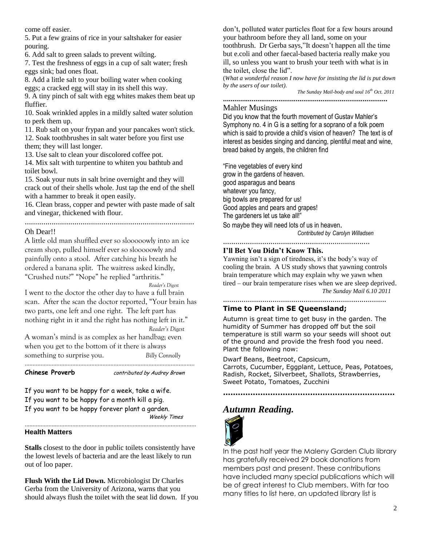come off easier.

5. Put a few grains of rice in your saltshaker for easier pouring.

6. Add salt to green salads to prevent wilting.

7. Test the freshness of eggs in a cup of salt water; fresh eggs sink; bad ones float.

8. Add a little salt to your boiling water when cooking eggs; a cracked egg will stay in its shell this way.

9. A tiny pinch of salt with egg whites makes them beat up fluffier.

10. Soak wrinkled apples in a mildly salted water solution to perk them up.

11. Rub salt on your frypan and your pancakes won't stick. 12. Soak toothbrushes in salt water before you first use them; they will last longer.

13. Use salt to clean your discolored coffee pot.

14. Mix salt with turpentine to whiten you bathtub and toilet bowl.

15. Soak your nuts in salt brine overnight and they will crack out of their shells whole. Just tap the end of the shell with a hammer to break it open easily.

16. Clean brass, copper and pewter with paste made of salt and vinegar, thickened with flour.

# ..................................................................................

#### Oh Dear!!

A little old man shuffled ever so slooooowly into an ice cream shop, pulled himself ever so slooooowly and painfully onto a stool. After catching his breath he ordered a banana split. The waitress asked kindly, "Crushed nuts?" "Nope" he replied "arthritis."

*Reader's Digest*

I went to the doctor the other day to have a full brain scan. After the scan the doctor reported, "Your brain has two parts, one left and one right. The left part has nothing right in it and the right has nothing left in it." *Reader's Digest*

A woman's mind is as complex as her handbag; even when you get to the bottom of it there is always something to surprise you. *Billy Connolly*

...........................................................................................................

**Chinese Proverb** *contributed by Audrey Brown* 

If you want to be happy for a week, take a wife. If you want to be happy for a month kill a pig.

If you want to be happy forever plant a garden.

Weekly Times

#### **Health Matters**

**Stalls** closest to the door in public toilets consistently have the lowest levels of bacteria and are the least likely to run out of loo paper.

............................................................................................................

**Flush With the Lid Down.** Microbiologist Dr Charles Gerba from the University of Arizona, warns that you should always flush the toilet with the seat lid down. If you

don't, polluted water particles float for a few hours around your bathroom before they all land, some on your toothbrush. Dr Gerba says,"It doesn't happen all the time but e.coli and other faecal-based bacteria really make you ill, so unless you want to brush your teeth with what is in the toilet, close the lid".

(*What a wonderful reason I now have for insisting the lid is put down by the users of our toilet).*

**......................................................................................**

*The Sunday Mail-body and soul 16th Oct. 2011*

### Mahler Musings

Did you know that the fourth movement of Gustav Mahler's Symphony no. 4 in G is a setting for a soprano of a folk poem which is said to provide a child's vision of heaven? The text is of interest as besides singing and dancing, plentiful meat and wine, bread baked by angels, the children find

"Fine vegetables of every kind grow in the gardens of heaven. good asparagus and beans whatever you fancy, big bowls are prepared for us! Good apples and pears and grapes! The gardeners let us take all!" So maybe they will need lots of us in heaven.

*Contributed by Carolyn Willadsen*

.......................................................................

# **I'll Bet You Didn't Know This.**

Yawning isn't a sign of tiredness, it's the body's way of cooling the brain. A US study shows that yawning controls brain temperature which may explain why we yawn when tired – our brain temperature rises when we are sleep deprived. *The Sunday Mail 6.10 2011*

............................................................................... **Time to Plant in SE Queensland;**

Autumn is great time to get busy in the garden. The humidity of Summer has dropped off but the soil temperature is still warm so your seeds will shoot out of the ground and provide the fresh food you need. Plant the following now:

Dwarf Beans, Beetroot, Capsicum, Carrots, Cucumber, Eggplant, Lettuce, Peas, Potatoes, Radish, Rocket, Silverbeet, Shallots, Strawberries, Sweet Potato, Tomatoes, Zucchini

**.....................................................................**

# *Autumn Reading.*



In the past half year the Maleny Garden Club library has gratefully received 29 book donations from members past and present. These contributions have included many special publications which will be of great interest to Club members. With far too many titles to list here, an updated library list is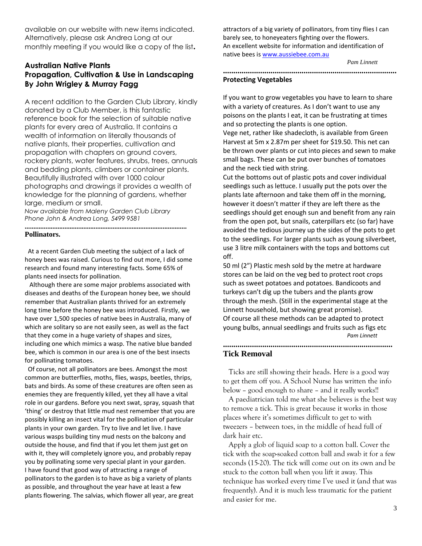available on our website with new items indicated. Alternatively, please ask Andrea Long at our monthly meeting if you would like a copy of the list**.** 

# **Australian Native Plants Propagation, Cultivation & Use in Landscaping By John Wrigley & Murray Fagg**

A recent addition to the Garden Club Library, kindly donated by a Club Member, is this fantastic reference book for the selection of suitable native plants for every area of Australia. It contains a wealth of information on literally thousands of native plants, their properties, cultivation and propagation with chapters on ground covers, rockery plants, water features, shrubs, trees, annuals and bedding plants, climbers or container plants. Beautifully illustrated with over 1000 colour photographs and drawings it provides a wealth of knowledge for the planning of gardens, whether large, medium or small.

*Now available from Maleny Garden Club Library Phone John & Andrea Long, 5499 9581*

#### **.............................................................................................. Pollinators.**

 At a recent Garden Club meeting the subject of a lack of honey bees was raised. Curious to find out more, I did some research and found many interesting facts. Some 65% of plants need insects for pollination.

 Although there are some major problems associated with diseases and deaths of the European honey bee, we should remember that Australian plants thrived for an extremely long time before the honey bee was introduced. Firstly, we have over 1,500 species of native bees in Australia, many of which are solitary so are not easily seen, as well as the fact that they come in a huge variety of shapes and sizes, including one which mimics a wasp. The native blue banded bee, which is common in our area is one of the best insects for pollinating tomatoes.

 Of course, not all pollinators are bees. Amongst the most common are butterflies, moths, flies, wasps, beetles, thrips, bats and birds. As some of these creatures are often seen as enemies they are frequently killed, yet they all have a vital role in our gardens. Before you next swat, spray, squash that 'thing' or destroy that little mud nest remember that you are possibly killing an insect vital for the pollination of particular plants in your own garden. Try to live and let live. I have various wasps building tiny mud nests on the balcony and outside the house, and find that if you let them just get on with it, they will completely ignore you, and probably repay you by pollinating some very special plant in your garden. I have found that good way of attracting a range of pollinators to the garden is to have as big a variety of plants as possible, and throughout the year have at least a few plants flowering. The salvias, which flower all year, are great

attractors of a big variety of pollinators, from tiny flies I can barely see, to honeyeaters fighting over the flowers. An excellent website for information and identification of native bees is [www.aussiebee.com.au](http://www.aussiebee.com.au/)

*Pam Linnett*

#### **.................................................................................... Protecting Vegetables**

If you want to grow vegetables you have to learn to share with a variety of creatures. As I don't want to use any poisons on the plants I eat, it can be frustrating at times and so protecting the plants is one option.

Vege net, rather like shadecloth, is available from Green Harvest at 5m x 2.87m per sheet for \$19.50. This net can be thrown over plants or cut into pieces and sewn to make small bags. These can be put over bunches of tomatoes and the neck tied with string.

Cut the bottoms out of plastic pots and cover individual seedlings such as lettuce. I usually put the pots over the plants late afternoon and take them off in the morning, however it doesn't matter if they are left there as the seedlings should get enough sun and benefit from any rain from the open pot, but snails, caterpillars etc (so far) have avoided the tedious journey up the sides of the pots to get to the seedlings. For larger plants such as young silverbeet, use 3 litre milk containers with the tops and bottoms cut off.

50 ml (2") Plastic mesh sold by the metre at hardware stores can be laid on the veg bed to protect root crops such as sweet potatoes and potatoes. Bandicoots and turkeys can't dig up the tubers and the plants grow through the mesh. (Still in the experimental stage at the Linnett household, but showing great promise). Of course all these methods can be adapted to protect young bulbs, annual seedlings and fruits such as figs etc *Pam Linnett*

# **Tick Removal**

 Ticks are still showing their heads. Here is a good way to get them off you. A School Nurse has written the info below – good enough to share – and it really works!!

**..................................................................................**

 A paediatrician told me what she believes is the best way to remove a tick. This is great because it works in those places where it's sometimes difficult to get to with tweezers – between toes, in the middle of head full of dark hair etc.

 Apply a glob of liquid soap to a cotton ball. Cover the tick with the soap-soaked cotton ball and swab it for a few seconds (15-20). The tick will come out on its own and be stuck to the cotton ball when you lift it away. This technique has worked every time I've used it (and that was frequently). And it is much less traumatic for the patient and easier for me.